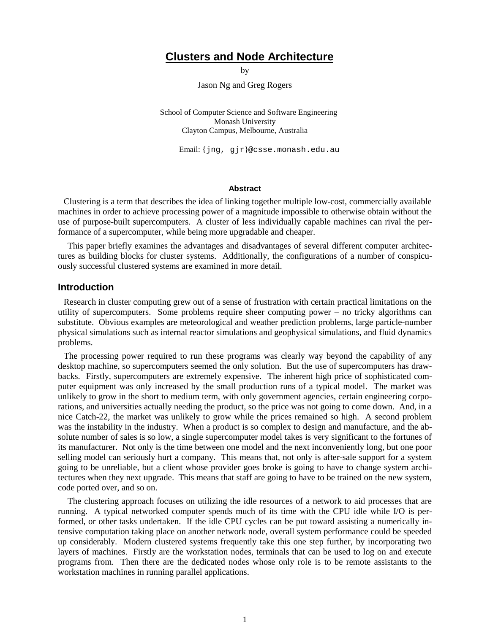## **Clusters and Node Architecture**

by

Jason Ng and Greg Rogers

School of Computer Science and Software Engineering Monash University Clayton Campus, Melbourne, Australia

Email: {jng, gjr}@csse.monash.edu.au

#### **Abstract**

Clustering is a term that describes the idea of linking together multiple low-cost, commercially available machines in order to achieve processing power of a magnitude impossible to otherwise obtain without the use of purpose-built supercomputers. A cluster of less individually capable machines can rival the performance of a supercomputer, while being more upgradable and cheaper.

This paper briefly examines the advantages and disadvantages of several different computer architectures as building blocks for cluster systems. Additionally, the configurations of a number of conspicuously successful clustered systems are examined in more detail.

#### **Introduction**

Research in cluster computing grew out of a sense of frustration with certain practical limitations on the utility of supercomputers. Some problems require sheer computing power – no tricky algorithms can substitute. Obvious examples are meteorological and weather prediction problems, large particle-number physical simulations such as internal reactor simulations and geophysical simulations, and fluid dynamics problems.

The processing power required to run these programs was clearly way beyond the capability of any desktop machine, so supercomputers seemed the only solution. But the use of supercomputers has drawbacks. Firstly, supercomputers are extremely expensive. The inherent high price of sophisticated computer equipment was only increased by the small production runs of a typical model. The market was unlikely to grow in the short to medium term, with only government agencies, certain engineering corporations, and universities actually needing the product, so the price was not going to come down. And, in a nice Catch-22, the market was unlikely to grow while the prices remained so high. A second problem was the instability in the industry. When a product is so complex to design and manufacture, and the absolute number of sales is so low, a single supercomputer model takes is very significant to the fortunes of its manufacturer. Not only is the time between one model and the next inconveniently long, but one poor selling model can seriously hurt a company. This means that, not only is after-sale support for a system going to be unreliable, but a client whose provider goes broke is going to have to change system architectures when they next upgrade. This means that staff are going to have to be trained on the new system, code ported over, and so on.

The clustering approach focuses on utilizing the idle resources of a network to aid processes that are running. A typical networked computer spends much of its time with the CPU idle while I/O is performed, or other tasks undertaken. If the idle CPU cycles can be put toward assisting a numerically intensive computation taking place on another network node, overall system performance could be speeded up considerably. Modern clustered systems frequently take this one step further, by incorporating two layers of machines. Firstly are the workstation nodes, terminals that can be used to log on and execute programs from. Then there are the dedicated nodes whose only role is to be remote assistants to the workstation machines in running parallel applications.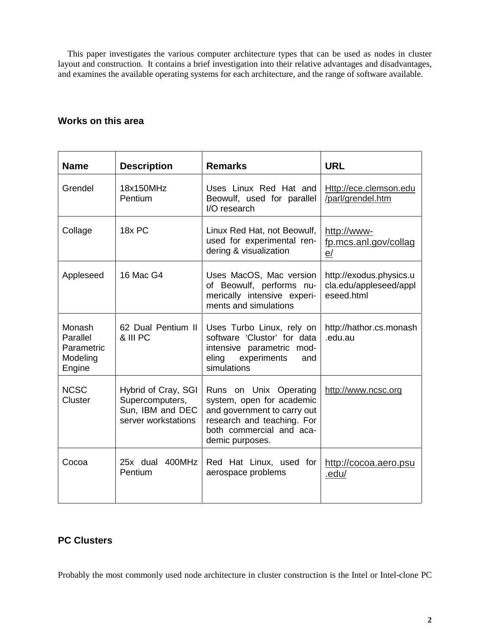This paper investigates the various computer architecture types that can be used as nodes in cluster layout and construction. It contains a brief investigation into their relative advantages and disadvantages, and examines the available operating systems for each architecture, and the range of software available.

## **Works on this area**

| <b>Name</b>                                            | <b>Description</b>                                                                | <b>Remarks</b>                                                                                                                                                  | <b>URL</b>                                                      |
|--------------------------------------------------------|-----------------------------------------------------------------------------------|-----------------------------------------------------------------------------------------------------------------------------------------------------------------|-----------------------------------------------------------------|
| Grendel                                                | 18x150MHz<br>Pentium                                                              | Uses Linux Red Hat and<br>Beowulf, used for parallel<br>I/O research                                                                                            | Http://ece.clemson.edu<br>/parl/grendel.htm                     |
| Collage                                                | 18x PC                                                                            | Linux Red Hat, not Beowulf,<br>used for experimental ren-<br>dering & visualization                                                                             | http://www-<br>fp.mcs.anl.gov/collag<br>e/                      |
| Appleseed                                              | 16 Mac G4                                                                         | Uses MacOS, Mac version<br>of Beowulf, performs nu-<br>merically intensive experi-<br>ments and simulations                                                     | http://exodus.physics.u<br>cla.edu/appleseed/appl<br>eseed.html |
| Monash<br>Parallel<br>Parametric<br>Modeling<br>Engine | 62 Dual Pentium II<br>& III PC                                                    | Uses Turbo Linux, rely on<br>software 'Clustor' for data<br>intensive parametric mod-<br>eling experiments<br>and<br>simulations                                | http://hathor.cs.monash<br>.edu.au                              |
| <b>NCSC</b><br>Cluster                                 | Hybrid of Cray, SGI<br>Supercomputers,<br>Sun, IBM and DEC<br>server workstations | Runs on Unix Operating<br>system, open for academic<br>and government to carry out<br>research and teaching. For<br>both commercial and aca-<br>demic purposes. | http://www.ncsc.org                                             |
| Cocoa                                                  | 25x dual 400MHz<br>Pentium                                                        | Red Hat Linux, used for<br>aerospace problems                                                                                                                   | http://cocoa.aero.psu<br>.edu/                                  |

# **PC Clusters**

Probably the most commonly used node architecture in cluster construction is the Intel or Intel-clone PC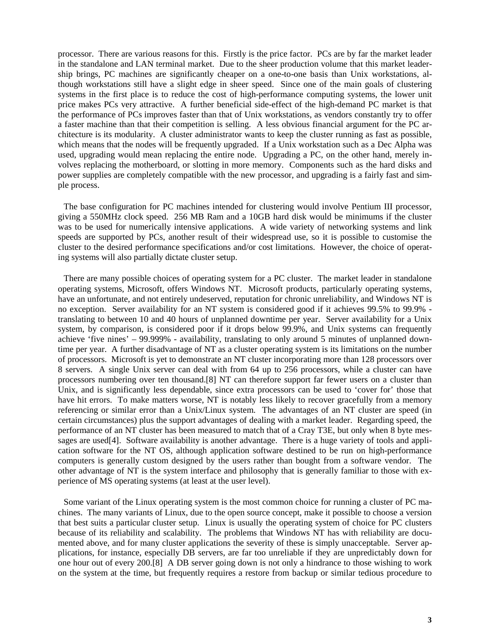processor. There are various reasons for this. Firstly is the price factor. PCs are by far the market leader in the standalone and LAN terminal market. Due to the sheer production volume that this market leadership brings, PC machines are significantly cheaper on a one-to-one basis than Unix workstations, although workstations still have a slight edge in sheer speed. Since one of the main goals of clustering systems in the first place is to reduce the cost of high-performance computing systems, the lower unit price makes PCs very attractive. A further beneficial side-effect of the high-demand PC market is that the performance of PCs improves faster than that of Unix workstations, as vendors constantly try to offer a faster machine than that their competition is selling. A less obvious financial argument for the PC architecture is its modularity. A cluster administrator wants to keep the cluster running as fast as possible, which means that the nodes will be frequently upgraded. If a Unix workstation such as a Dec Alpha was used, upgrading would mean replacing the entire node. Upgrading a PC, on the other hand, merely involves replacing the motherboard, or slotting in more memory. Components such as the hard disks and power supplies are completely compatible with the new processor, and upgrading is a fairly fast and simple process.

The base configuration for PC machines intended for clustering would involve Pentium III processor, giving a 550MHz clock speed. 256 MB Ram and a 10GB hard disk would be minimums if the cluster was to be used for numerically intensive applications. A wide variety of networking systems and link speeds are supported by PCs, another result of their widespread use, so it is possible to customise the cluster to the desired performance specifications and/or cost limitations. However, the choice of operating systems will also partially dictate cluster setup.

There are many possible choices of operating system for a PC cluster. The market leader in standalone operating systems, Microsoft, offers Windows NT. Microsoft products, particularly operating systems, have an unfortunate, and not entirely undeserved, reputation for chronic unreliability, and Windows NT is no exception. Server availability for an NT system is considered good if it achieves 99.5% to 99.9% translating to between 10 and 40 hours of unplanned downtime per year. Server availability for a Unix system, by comparison, is considered poor if it drops below 99.9%, and Unix systems can frequently achieve 'five nines' – 99.999% - availability, translating to only around 5 minutes of unplanned downtime per year. A further disadvantage of NT as a cluster operating system is its limitations on the number of processors. Microsoft is yet to demonstrate an NT cluster incorporating more than 128 processors over 8 servers. A single Unix server can deal with from 64 up to 256 processors, while a cluster can have processors numbering over ten thousand.[8] NT can therefore support far fewer users on a cluster than Unix, and is significantly less dependable, since extra processors can be used to 'cover for' those that have hit errors. To make matters worse, NT is notably less likely to recover gracefully from a memory referencing or similar error than a Unix/Linux system. The advantages of an NT cluster are speed (in certain circumstances) plus the support advantages of dealing with a market leader. Regarding speed, the performance of an NT cluster has been measured to match that of a Cray T3E, but only when 8 byte messages are used[4]. Software availability is another advantage. There is a huge variety of tools and application software for the NT OS, although application software destined to be run on high-performance computers is generally custom designed by the users rather than bought from a software vendor. The other advantage of NT is the system interface and philosophy that is generally familiar to those with experience of MS operating systems (at least at the user level).

Some variant of the Linux operating system is the most common choice for running a cluster of PC machines. The many variants of Linux, due to the open source concept, make it possible to choose a version that best suits a particular cluster setup. Linux is usually the operating system of choice for PC clusters because of its reliability and scalability. The problems that Windows NT has with reliability are documented above, and for many cluster applications the severity of these is simply unacceptable. Server applications, for instance, especially DB servers, are far too unreliable if they are unpredictably down for one hour out of every 200.[8] A DB server going down is not only a hindrance to those wishing to work on the system at the time, but frequently requires a restore from backup or similar tedious procedure to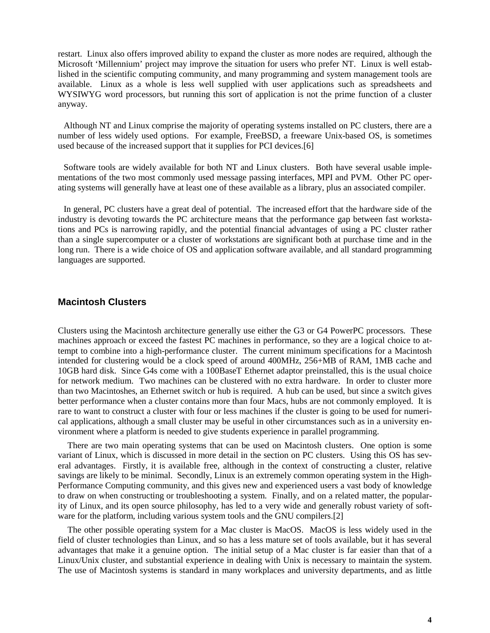restart. Linux also offers improved ability to expand the cluster as more nodes are required, although the Microsoft 'Millennium' project may improve the situation for users who prefer NT. Linux is well established in the scientific computing community, and many programming and system management tools are available. Linux as a whole is less well supplied with user applications such as spreadsheets and WYSIWYG word processors, but running this sort of application is not the prime function of a cluster anyway.

Although NT and Linux comprise the majority of operating systems installed on PC clusters, there are a number of less widely used options. For example, FreeBSD, a freeware Unix-based OS, is sometimes used because of the increased support that it supplies for PCI devices.[6]

Software tools are widely available for both NT and Linux clusters. Both have several usable implementations of the two most commonly used message passing interfaces, MPI and PVM. Other PC operating systems will generally have at least one of these available as a library, plus an associated compiler.

In general, PC clusters have a great deal of potential. The increased effort that the hardware side of the industry is devoting towards the PC architecture means that the performance gap between fast workstations and PCs is narrowing rapidly, and the potential financial advantages of using a PC cluster rather than a single supercomputer or a cluster of workstations are significant both at purchase time and in the long run. There is a wide choice of OS and application software available, and all standard programming languages are supported.

### **Macintosh Clusters**

Clusters using the Macintosh architecture generally use either the G3 or G4 PowerPC processors. These machines approach or exceed the fastest PC machines in performance, so they are a logical choice to attempt to combine into a high-performance cluster. The current minimum specifications for a Macintosh intended for clustering would be a clock speed of around 400MHz, 256+MB of RAM, 1MB cache and 10GB hard disk. Since G4s come with a 100BaseT Ethernet adaptor preinstalled, this is the usual choice for network medium. Two machines can be clustered with no extra hardware. In order to cluster more than two Macintoshes, an Ethernet switch or hub is required. A hub can be used, but since a switch gives better performance when a cluster contains more than four Macs, hubs are not commonly employed. It is rare to want to construct a cluster with four or less machines if the cluster is going to be used for numerical applications, although a small cluster may be useful in other circumstances such as in a university environment where a platform is needed to give students experience in parallel programming.

There are two main operating systems that can be used on Macintosh clusters. One option is some variant of Linux, which is discussed in more detail in the section on PC clusters. Using this OS has several advantages. Firstly, it is available free, although in the context of constructing a cluster, relative savings are likely to be minimal. Secondly, Linux is an extremely common operating system in the High-Performance Computing community, and this gives new and experienced users a vast body of knowledge to draw on when constructing or troubleshooting a system. Finally, and on a related matter, the popularity of Linux, and its open source philosophy, has led to a very wide and generally robust variety of software for the platform, including various system tools and the GNU compilers.[2]

The other possible operating system for a Mac cluster is MacOS. MacOS is less widely used in the field of cluster technologies than Linux, and so has a less mature set of tools available, but it has several advantages that make it a genuine option. The initial setup of a Mac cluster is far easier than that of a Linux/Unix cluster, and substantial experience in dealing with Unix is necessary to maintain the system. The use of Macintosh systems is standard in many workplaces and university departments, and as little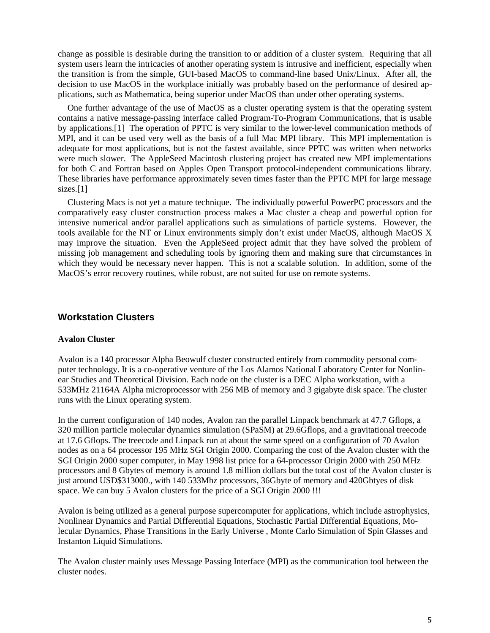change as possible is desirable during the transition to or addition of a cluster system. Requiring that all system users learn the intricacies of another operating system is intrusive and inefficient, especially when the transition is from the simple, GUI-based MacOS to command-line based Unix/Linux. After all, the decision to use MacOS in the workplace initially was probably based on the performance of desired applications, such as Mathematica, being superior under MacOS than under other operating systems.

One further advantage of the use of MacOS as a cluster operating system is that the operating system contains a native message-passing interface called Program-To-Program Communications, that is usable by applications.[1] The operation of PPTC is very similar to the lower-level communication methods of MPI, and it can be used very well as the basis of a full Mac MPI library. This MPI implementation is adequate for most applications, but is not the fastest available, since PPTC was written when networks were much slower. The AppleSeed Macintosh clustering project has created new MPI implementations for both C and Fortran based on Apples Open Transport protocol-independent communications library. These libraries have performance approximately seven times faster than the PPTC MPI for large message sizes.<sup>[1]</sup>

Clustering Macs is not yet a mature technique. The individually powerful PowerPC processors and the comparatively easy cluster construction process makes a Mac cluster a cheap and powerful option for intensive numerical and/or parallel applications such as simulations of particle systems. However, the tools available for the NT or Linux environments simply don't exist under MacOS, although MacOS X may improve the situation. Even the AppleSeed project admit that they have solved the problem of missing job management and scheduling tools by ignoring them and making sure that circumstances in which they would be necessary never happen. This is not a scalable solution. In addition, some of the MacOS's error recovery routines, while robust, are not suited for use on remote systems.

### **Workstation Clusters**

### **Avalon Cluster**

Avalon is a 140 processor Alpha Beowulf cluster constructed entirely from commodity personal computer technology. It is a co-operative venture of the Los Alamos National Laboratory Center for Nonlinear Studies and Theoretical Division. Each node on the cluster is a DEC Alpha workstation, with a 533MHz 21164A Alpha microprocessor with 256 MB of memory and 3 gigabyte disk space. The cluster runs with the Linux operating system.

In the current configuration of 140 nodes, Avalon ran the parallel Linpack benchmark at 47.7 Gflops, a 320 million particle molecular dynamics simulation (SPaSM) at 29.6Gflops, and a gravitational treecode at 17.6 Gflops. The treecode and Linpack run at about the same speed on a configuration of 70 Avalon nodes as on a 64 processor 195 MHz SGI Origin 2000. Comparing the cost of the Avalon cluster with the SGI Origin 2000 super computer, in May 1998 list price for a 64-processor Origin 2000 with 250 MHz processors and 8 Gbytes of memory is around 1.8 million dollars but the total cost of the Avalon cluster is just around USD\$313000., with 140 533Mhz processors, 36Gbyte of memory and 420Gbtyes of disk space. We can buy 5 Avalon clusters for the price of a SGI Origin 2000 !!!

Avalon is being utilized as a general purpose supercomputer for applications, which include astrophysics, Nonlinear Dynamics and Partial Differential Equations, Stochastic Partial Differential Equations, Molecular Dynamics, Phase Transitions in the Early Universe , Monte Carlo Simulation of Spin Glasses and Instanton Liquid Simulations.

The Avalon cluster mainly uses Message Passing Interface (MPI) as the communication tool between the cluster nodes.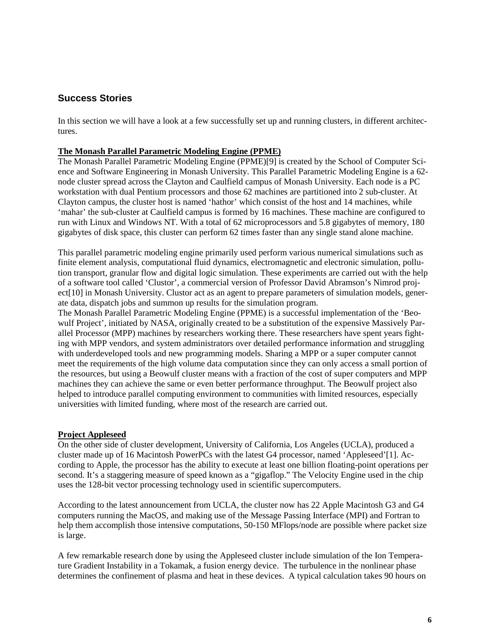## **Success Stories**

In this section we will have a look at a few successfully set up and running clusters, in different architectures.

### **The Monash Parallel Parametric Modeling Engine (PPME)**

The Monash Parallel Parametric Modeling Engine (PPME)[9] is created by the School of Computer Science and Software Engineering in Monash University. This Parallel Parametric Modeling Engine is a 62 node cluster spread across the Clayton and Caulfield campus of Monash University. Each node is a PC workstation with dual Pentium processors and those 62 machines are partitioned into 2 sub-cluster. At Clayton campus, the cluster host is named 'hathor' which consist of the host and 14 machines, while 'mahar' the sub-cluster at Caulfield campus is formed by 16 machines. These machine are configured to run with Linux and Windows NT. With a total of 62 microprocessors and 5.8 gigabytes of memory, 180 gigabytes of disk space, this cluster can perform 62 times faster than any single stand alone machine.

This parallel parametric modeling engine primarily used perform various numerical simulations such as finite element analysis, computational fluid dynamics, electromagnetic and electronic simulation, pollution transport, granular flow and digital logic simulation. These experiments are carried out with the help of a software tool called 'Clustor', a commercial version of Professor David Abramson's Nimrod project[10] in Monash University. Clustor act as an agent to prepare parameters of simulation models, generate data, dispatch jobs and summon up results for the simulation program.

The Monash Parallel Parametric Modeling Engine (PPME) is a successful implementation of the 'Beowulf Project', initiated by NASA, originally created to be a substitution of the expensive Massively Parallel Processor (MPP) machines by researchers working there. These researchers have spent years fighting with MPP vendors, and system administrators over detailed performance information and struggling with underdeveloped tools and new programming models. Sharing a MPP or a super computer cannot meet the requirements of the high volume data computation since they can only access a small portion of the resources, but using a Beowulf cluster means with a fraction of the cost of super computers and MPP machines they can achieve the same or even better performance throughput. The Beowulf project also helped to introduce parallel computing environment to communities with limited resources, especially universities with limited funding, where most of the research are carried out.

### **Project Appleseed**

On the other side of cluster development, University of California, Los Angeles (UCLA), produced a cluster made up of 16 Macintosh PowerPCs with the latest G4 processor, named 'Appleseed'[1]. According to Apple, the processor has the ability to execute at least one billion floating-point operations per second. It's a staggering measure of speed known as a "gigaflop." The Velocity Engine used in the chip uses the 128-bit vector processing technology used in scientific supercomputers.

According to the latest announcement from UCLA, the cluster now has 22 Apple Macintosh G3 and G4 computers running the MacOS, and making use of the Message Passing Interface (MPI) and Fortran to help them accomplish those intensive computations, 50-150 MFlops/node are possible where packet size is large.

A few remarkable research done by using the Appleseed cluster include simulation of the Ion Temperature Gradient Instability in a Tokamak, a fusion energy device. The turbulence in the nonlinear phase determines the confinement of plasma and heat in these devices. A typical calculation takes 90 hours on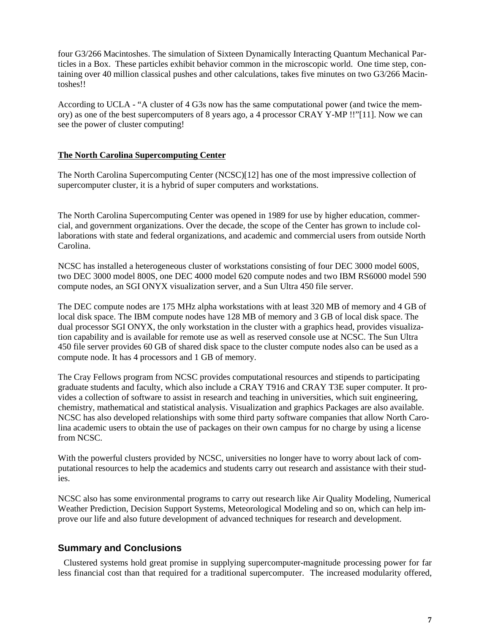four G3/266 Macintoshes. The simulation of Sixteen Dynamically Interacting Quantum Mechanical Particles in a Box. These particles exhibit behavior common in the microscopic world. One time step, containing over 40 million classical pushes and other calculations, takes five minutes on two G3/266 Macintoshes!!

According to UCLA - "A cluster of 4 G3s now has the same computational power (and twice the memory) as one of the best supercomputers of 8 years ago, a 4 processor CRAY Y-MP !!"[11]. Now we can see the power of cluster computing!

### **The North Carolina Supercomputing Center**

The North Carolina Supercomputing Center (NCSC)[12] has one of the most impressive collection of supercomputer cluster, it is a hybrid of super computers and workstations.

The North Carolina Supercomputing Center was opened in 1989 for use by higher education, commercial, and government organizations. Over the decade, the scope of the Center has grown to include collaborations with state and federal organizations, and academic and commercial users from outside North Carolina.

NCSC has installed a heterogeneous cluster of workstations consisting of four DEC 3000 model 600S, two DEC 3000 model 800S, one DEC 4000 model 620 compute nodes and two IBM RS6000 model 590 compute nodes, an SGI ONYX visualization server, and a Sun Ultra 450 file server.

The DEC compute nodes are 175 MHz alpha workstations with at least 320 MB of memory and 4 GB of local disk space. The IBM compute nodes have 128 MB of memory and 3 GB of local disk space. The dual processor SGI ONYX, the only workstation in the cluster with a graphics head, provides visualization capability and is available for remote use as well as reserved console use at NCSC. The Sun Ultra 450 file server provides 60 GB of shared disk space to the cluster compute nodes also can be used as a compute node. It has 4 processors and 1 GB of memory.

The Cray Fellows program from NCSC provides computational resources and stipends to participating graduate students and faculty, which also include a CRAY T916 and CRAY T3E super computer. It provides a collection of software to assist in research and teaching in universities, which suit engineering, chemistry, mathematical and statistical analysis. Visualization and graphics Packages are also available. NCSC has also developed relationships with some third party software companies that allow North Carolina academic users to obtain the use of packages on their own campus for no charge by using a license from NCSC.

With the powerful clusters provided by NCSC, universities no longer have to worry about lack of computational resources to help the academics and students carry out research and assistance with their studies.

NCSC also has some environmental programs to carry out research like Air Quality Modeling, Numerical Weather Prediction, Decision Support Systems, Meteorological Modeling and so on, which can help improve our life and also future development of advanced techniques for research and development.

## **Summary and Conclusions**

Clustered systems hold great promise in supplying supercomputer-magnitude processing power for far less financial cost than that required for a traditional supercomputer. The increased modularity offered,